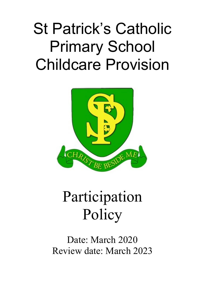## St Patrick's Catholic Primary School Childcare Provision



## Participation Policy

Date: March 2020 Review date: March 2023